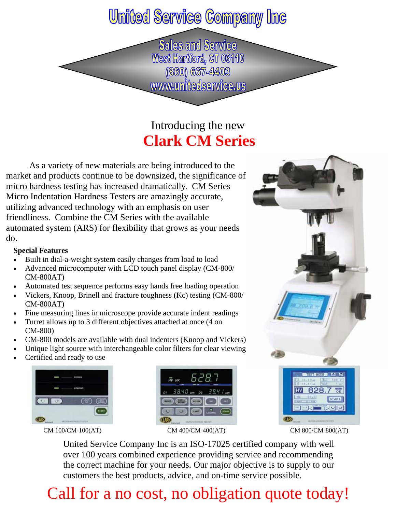## **United Service Company Inc**

**Sales and Service** West Hartford, CT 06110 (860) 667-4403 www.unitedservice.us

### Introducing the new **Clark CM Series**

 As a variety of new materials are being introduced to the market and products continue to be downsized, the significance of micro hardness testing has increased dramatically. CM Series Micro Indentation Hardness Testers are amazingly accurate, utilizing advanced technology with an emphasis on user friendliness. Combine the CM Series with the available automated system (ARS) for flexibility that grows as your needs do.

#### **Special Features**

- Built in dial-a-weight system easily changes from load to load
- Advanced microcomputer with LCD touch panel display (CM-800/ CM-800AT)
- Automated test sequence performs easy hands free loading operation
- Vickers, Knoop, Brinell and fracture toughness (Kc) testing (CM-800/ CM-800AT)
- Fine measuring lines in microscope provide accurate indent readings
- Turret allows up to 3 different objectives attached at once (4 on CM-800)
- CM-800 models are available with dual indenters (Knoop and Vickers)
- Unique light source with interchangeable color filters for clear viewing
- Certified and ready to use



CM 100/CM-100(AT) CM 400/CM-400(AT) CM 800/CM-800(AT)





United Service Company Inc is an ISO-17025 certified company with well over 100 years combined experience providing service and recommending the correct machine for your needs. Our major objective is to supply to our customers the best products, advice, and on-time service possible.

## Call for a no cost, no obligation quote today!